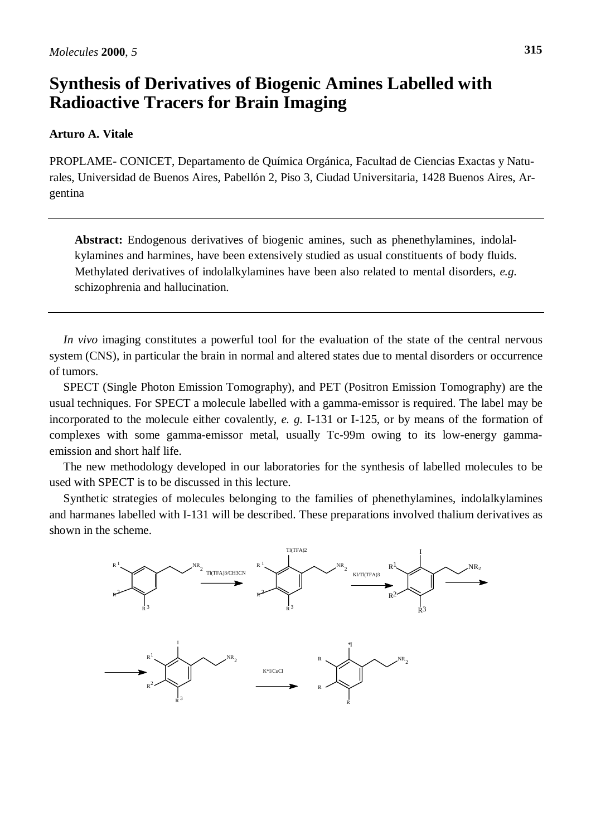## **Synthesis of Derivatives of Biogenic Amines Labelled with Radioactive Tracers for Brain Imaging**

## **Arturo A. Vitale**

PROPLAME- CONICET, Departamento de Química Orgánica, Facultad de Ciencias Exactas y Naturales, Universidad de Buenos Aires, Pabellón 2, Piso 3, Ciudad Universitaria, 1428 Buenos Aires, Argentina

**Abstract:** Endogenous derivatives of biogenic amines, such as phenethylamines, indolalkylamines and harmines, have been extensively studied as usual constituents of body fluids. Methylated derivatives of indolalkylamines have been also related to mental disorders, *e.g.* schizophrenia and hallucination.

*In vivo* imaging constitutes a powerful tool for the evaluation of the state of the central nervous system (CNS), in particular the brain in normal and altered states due to mental disorders or occurrence of tumors.

SPECT (Single Photon Emission Tomography), and PET (Positron Emission Tomography) are the usual techniques. For SPECT a molecule labelled with a gamma-emissor is required. The label may be incorporated to the molecule either covalently, *e. g.* I-131 or I-125, or by means of the formation of complexes with some gamma-emissor metal, usually Tc-99m owing to its low-energy gammaemission and short half life.

The new methodology developed in our laboratories for the synthesis of labelled molecules to be used with SPECT is to be discussed in this lecture.

Synthetic strategies of molecules belonging to the families of phenethylamines, indolalkylamines and harmanes labelled with I-131 will be described. These preparations involved thalium derivatives as shown in the scheme.